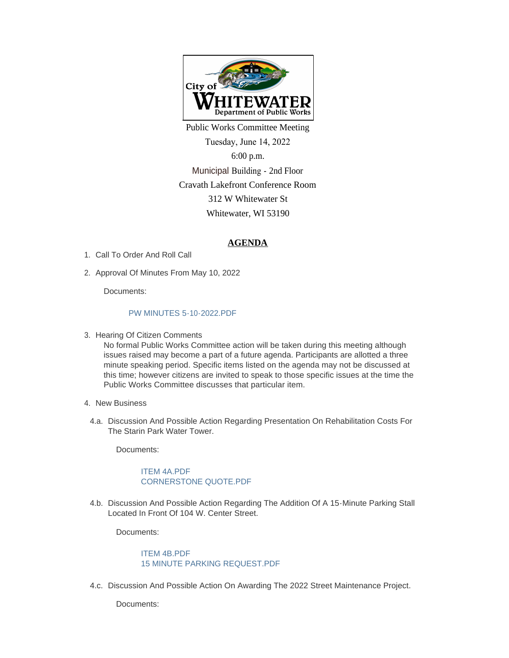

Public Works Committee Meeting Tuesday, June 14, 2022 6:00 p.m. Municipal Building - 2nd Floor Cravath Lakefront Conference Room 312 W Whitewater St Whitewater, WI 53190

# **AGENDA**

- 1. Call To Order And Roll Call
- 2. Approval Of Minutes From May 10, 2022

Documents:

#### [PW MINUTES 5-10-2022.PDF](https://www.whitewater-wi.gov/AgendaCenter/ViewFile/Item/5870?fileID=26372)

3. Hearing Of Citizen Comments

No formal Public Works Committee action will be taken during this meeting although issues raised may become a part of a future agenda. Participants are allotted a three minute speaking period. Specific items listed on the agenda may not be discussed at this time; however citizens are invited to speak to those specific issues at the time the Public Works Committee discusses that particular item.

- 4. New Business
	- 4.a. Discussion And Possible Action Regarding Presentation On Rehabilitation Costs For The Starin Park Water Tower.

Documents:

# [ITEM 4A.PDF](https://www.whitewater-wi.gov/AgendaCenter/ViewFile/Item/5871?fileID=26373) [CORNERSTONE QUOTE.PDF](https://www.whitewater-wi.gov/AgendaCenter/ViewFile/Item/5871?fileID=26374)

4.b. Discussion And Possible Action Regarding The Addition Of A 15-Minute Parking Stall Located In Front Of 104 W. Center Street.

Documents:

## [ITEM 4B.PDF](https://www.whitewater-wi.gov/AgendaCenter/ViewFile/Item/5872?fileID=26375) [15 MINUTE PARKING REQUEST.PDF](https://www.whitewater-wi.gov/AgendaCenter/ViewFile/Item/5872?fileID=26376)

4.c. Discussion And Possible Action On Awarding The 2022 Street Maintenance Project.

Documents: